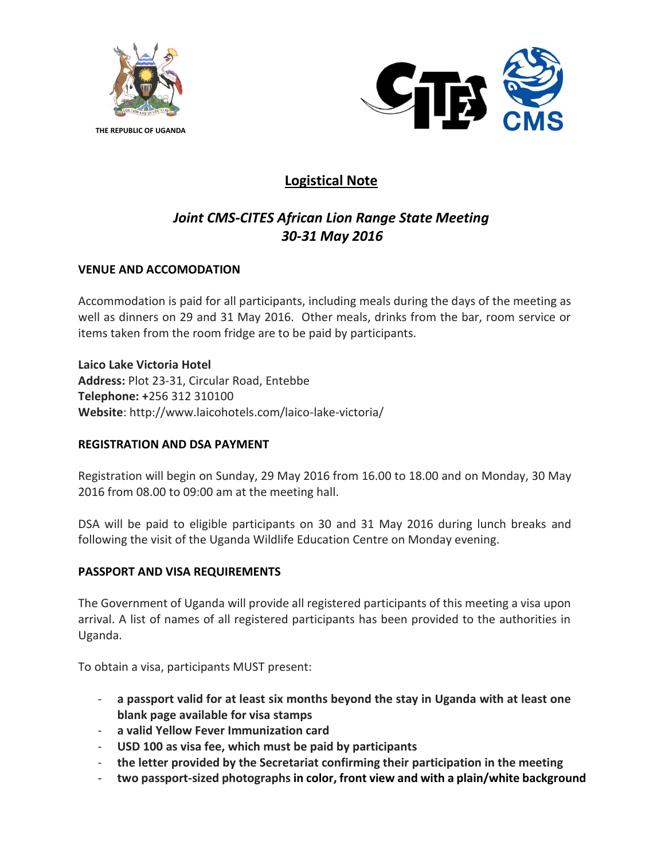

**THE REPUBLIC OF UGANDA**



# **Logistical Note**

## *Joint CMS-CITES African Lion Range State Meeting 30-31 May 2016*

## **VENUE AND ACCOMODATION**

Accommodation is paid for all participants, including meals during the days of the meeting as well as dinners on 29 and 31 May 2016. Other meals, drinks from the bar, room service or items taken from the room fridge are to be paid by participants.

**Laico Lake Victoria Hotel Address:** Plot 23-31, Circular Road, Entebbe **Telephone: +**256 312 310100 **Website**: http://www.laicohotels.com/laico-lake-victoria/

### **REGISTRATION AND DSA PAYMENT**

Registration will begin on Sunday, 29 May 2016 from 16.00 to 18.00 and on Monday, 30 May 2016 from 08.00 to 09:00 am at the meeting hall.

DSA will be paid to eligible participants on 30 and 31 May 2016 during lunch breaks and following the visit of the Uganda Wildlife Education Centre on Monday evening.

### **PASSPORT AND VISA REQUIREMENTS**

The Government of Uganda will provide all registered participants of this meeting a visa upon arrival. A list of names of all registered participants has been provided to the authorities in Uganda.

To obtain a visa, participants MUST present:

- **a passport valid for at least six months beyond the stay in Uganda with at least one blank page available for visa stamps**
- **a valid Yellow Fever Immunization card**
- **USD 100 as visa fee, which must be paid by participants**
- **the letter provided by the Secretariat confirming their participation in the meeting**
- **two passport-sized photographs in color, front view and with a plain/white background**